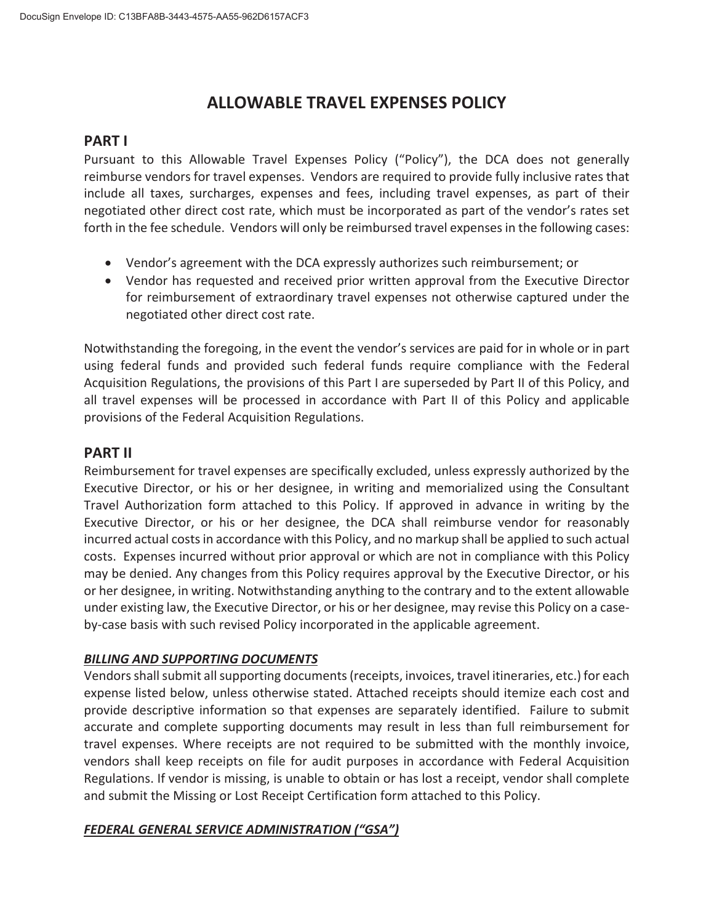# **ALLOWABLE TRAVEL EXPENSES POLICY**

## **PART I**

Pursuant to this Allowable Travel Expenses Policy ("Policy"), the DCA does not generally reimburse vendors for travel expenses. Vendors are required to provide fully inclusive rates that include all taxes, surcharges, expenses and fees, including travel expenses, as part of their negotiated other direct cost rate, which must be incorporated as part of the vendor's rates set forth in the fee schedule. Vendors will only be reimbursed travel expenses in the following cases:

- Vendor's agreement with the DCA expressly authorizes such reimbursement; or
- Vendor has requested and received prior written approval from the Executive Director for reimbursement of extraordinary travel expenses not otherwise captured under the negotiated other direct cost rate.

Notwithstanding the foregoing, in the event the vendor's services are paid for in whole or in part using federal funds and provided such federal funds require compliance with the Federal Acquisition Regulations, the provisions of this Part I are superseded by Part II of this Policy, and all travel expenses will be processed in accordance with Part II of this Policy and applicable provisions of the Federal Acquisition Regulations.

## **PART II**

Reimbursement for travel expenses are specifically excluded, unless expressly authorized by the Executive Director, or his or her designee, in writing and memorialized using the Consultant Travel Authorization form attached to this Policy. If approved in advance in writing by the Executive Director, or his or her designee, the DCA shall reimburse vendor for reasonably incurred actual costs in accordance with this Policy, and no markup shall be applied to such actual costs.Expenses incurred without prior approval or which are not in compliance with this Policy may be denied. Any changes from this Policy requires approval by the Executive Director, or his or her designee, in writing. Notwithstanding anything to the contrary and to the extent allowable under existing law, the Executive Director, or his or her designee, may revise this Policy on a caseby-case basis with such revised Policy incorporated in the applicable agreement.

## *BILLING AND SUPPORTING DOCUMENTS*

Vendorsshallsubmit allsupporting documents(receipts, invoices, travel itineraries, etc.) for each expense listed below, unless otherwise stated. Attached receipts should itemize each cost and provide descriptive information so that expenses are separately identified. Failure to submit accurate and complete supporting documents may result in less than full reimbursement for travel expenses. Where receipts are not required to be submitted with the monthly invoice, vendors shall keep receipts on file for audit purposes in accordance with Federal Acquisition Regulations. If vendor is missing, is unable to obtain or has lost a receipt, vendor shall complete and submit the Missing or Lost Receipt Certification form attached to this Policy.

## *FEDERAL GENERAL SERVICE ADMINISTRATION ("GSA")*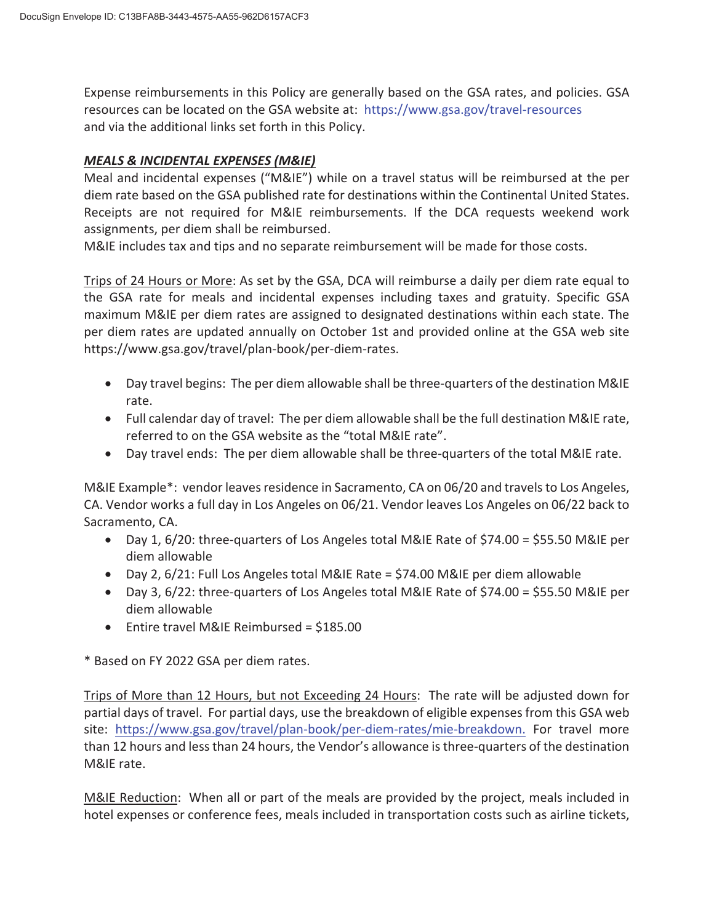Expense reimbursements in this Policy are generally based on the GSA rates, and policies. GSA resources can be located on the GSA website at: https://www.gsa.gov/travel-resources and via the additional links set forth in this Policy.

### *MEALS & INCIDENTAL EXPENSES (M&IE)*

Meal and incidental expenses ("M&IE") while on a travel status will be reimbursed at the per diem rate based on the GSA published rate for destinations within the Continental United States. Receipts are not required for M&IE reimbursements. If the DCA requests weekend work assignments, per diem shall be reimbursed.

M&IE includes tax and tips and no separate reimbursement will be made for those costs.

Trips of 24 Hours or More: As set by the GSA, DCA will reimburse a daily per diem rate equal to the GSA rate for meals and incidental expenses including taxes and gratuity. Specific GSA maximum M&IE per diem rates are assigned to designated destinations within each state. The per diem rates are updated annually on October 1st and provided online at the GSA web site https://www.gsa.gov/travel/plan-book/per-diem-rates.

- Day travel begins: The per diem allowable shall be three-quarters of the destination M&IE rate.
- $\bullet$  Full calendar day of travel: The per diem allowable shall be the full destination M&IE rate, referred to on the GSA website as the "total M&IE rate".
- Day travel ends: The per diem allowable shall be three-quarters of the total M&IE rate.

M&IE Example\*: vendor leaves residence in Sacramento, CA on 06/20 and travels to Los Angeles, CA. Vendor works a full day in Los Angeles on 06/21. Vendor leaves Los Angeles on 06/22 back to Sacramento, CA.

- $\bullet$  Day 1, 6/20: three-quarters of Los Angeles total M&IE Rate of \$74.00 = \$55.50 M&IE per diem allowable
- Day 2, 6/21: Full Los Angeles total M&IE Rate = \$74.00 M&IE per diem allowable
- Day 3,  $6/22$ : three-quarters of Los Angeles total M&IE Rate of \$74.00 = \$55.50 M&IE per diem allowable
- $\bullet$  Entire travel M&IE Reimbursed = \$185.00

\* Based on FY 2022 GSA per diem rates.

Trips of More than 12 Hours, but not Exceeding 24 Hours: The rate will be adjusted down for partial days of travel. For partial days, use the breakdown of eligible expenses from this GSA web site: https://www.gsa.gov/travel/plan-book/per-diem-rates/mie-breakdown. For travel more than 12 hours and less than 24 hours, the Vendor's allowance is three-quarters of the destination M&IE rate.

M&IE Reduction: When all or part of the meals are provided by the project, meals included in hotel expenses or conference fees, meals included in transportation costs such as airline tickets,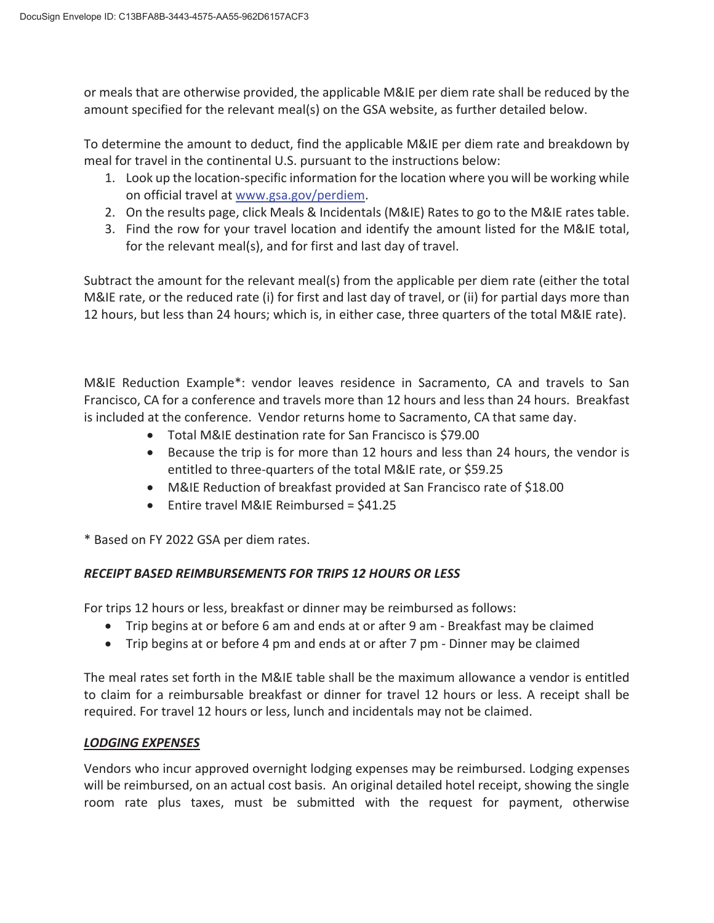or meals that are otherwise provided, the applicable M&IE per diem rate shall be reduced by the amount specified for the relevant meal(s) on the GSA website, as further detailed below.

To determine the amount to deduct, find the applicable M&IE per diem rate and breakdown by meal for travel in the continental U.S. pursuant to the instructions below:

- 1. Look up the location-specific information for the location where you will be working while on official travel at www.gsa.gov/perdiem.
- 2. On the results page, click Meals & Incidentals (M&IE) Rates to go to the M&IE rates table.
- 3. Find the row for your travel location and identify the amount listed for the M&IE total, for the relevant meal(s), and for first and last day of travel.

Subtract the amount for the relevant meal(s) from the applicable per diem rate (either the total M&IE rate, or the reduced rate (i) for first and last day of travel, or (ii) for partial days more than 12 hours, but less than 24 hours; which is, in either case, three quarters of the total M&IE rate).

M&IE Reduction Example\*: vendor leaves residence in Sacramento, CA and travels to San Francisco, CA for a conference and travels more than 12 hours and less than 24 hours. Breakfast is included at the conference. Vendor returns home to Sacramento, CA that same day.

- Total M&IE destination rate for San Francisco is \$79.00
- Because the trip is for more than 12 hours and less than 24 hours, the vendor is entitled to three-quarters of the total M&IE rate, or \$59.25
- M&IE Reduction of breakfast provided at San Francisco rate of \$18.00
- $\bullet$  Entire travel M&IE Reimbursed = \$41.25

\* Based on FY 2022 GSA per diem rates.

## *RECEIPT BASED REIMBURSEMENTS FOR TRIPS 12 HOURS OR LESS*

For trips 12 hours or less, breakfast or dinner may be reimbursed as follows:

- Trip begins at or before 6 am and ends at or after 9 am Breakfast may be claimed
- Trip begins at or before 4 pm and ends at or after 7 pm Dinner may be claimed

The meal rates set forth in the M&IE table shall be the maximum allowance a vendor is entitled to claim for a reimbursable breakfast or dinner for travel 12 hours or less. A receipt shall be required. For travel 12 hours or less, lunch and incidentals may not be claimed.

## *LODGING EXPENSES*

Vendors who incur approved overnight lodging expenses may be reimbursed. Lodging expenses will be reimbursed, on an actual cost basis. An original detailed hotel receipt, showing the single room rate plus taxes, must be submitted with the request for payment, otherwise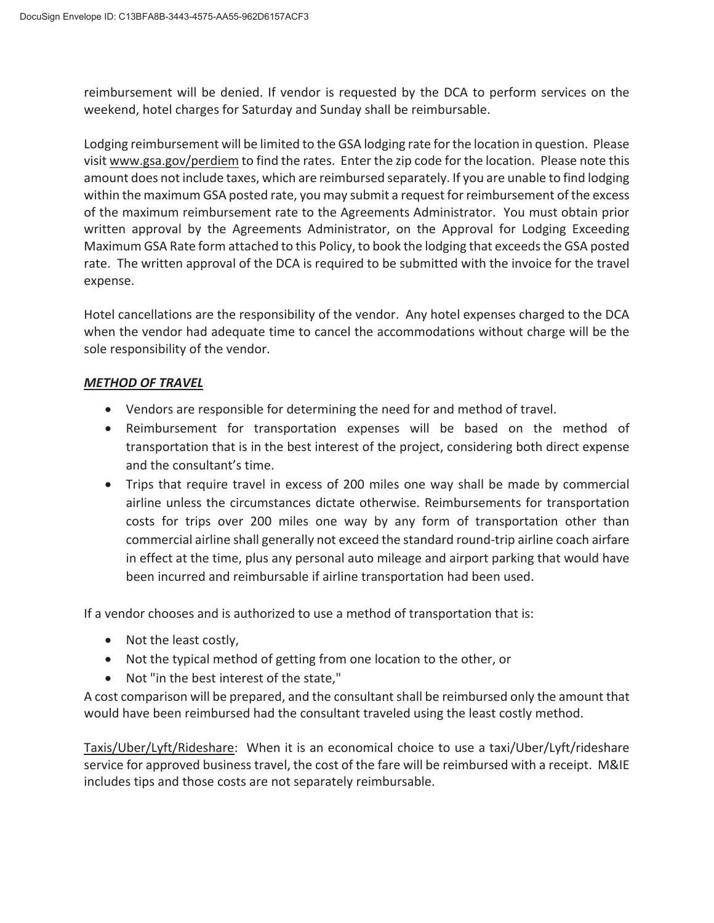reimbursement will be denied. If vendor is requested by the DCA to perform services on the weekend, hotel charges for Saturday and Sunday shall be reimbursable.

Lodging reimbursement will be limited to the GSA lodging rate for the location in question. Please visit www.gsa.gov/perdiem to find the rates. Enter the zip code for the location. Please note this amount does not include taxes, which are reimbursed separately. If you are unable to find lodging within the maximum GSA posted rate, you may submit a request for reimbursement of the excess of the maximum reimbursement rate to the Agreements Administrator. You must obtain prior written approval by the Agreements Administrator, on the Approval for Lodging Exceeding Maximum GSA Rate form attached to this Policy, to book the lodging that exceedsthe GSA posted rate. The written approval of the DCA is required to be submitted with the invoice for the travel expense.

Hotel cancellations are the responsibility of the vendor. Any hotel expenses charged to the DCA when the vendor had adequate time to cancel the accommodations without charge will be the sole responsibility of the vendor.

### *METHOD OF TRAVEL*

- Vendors are responsible for determining the need for and method of travel.
- Reimbursement for transportation expenses will be based on the method of transportation that is in the best interest of the project, considering both direct expense and the consultant's time.
- Trips that require travel in excess of 200 miles one way shall be made by commercial airline unless the circumstances dictate otherwise. Reimbursements for transportation costs for trips over 200 miles one way by any form of transportation other than commercial airline shall generally not exceed the standard round-trip airline coach airfare in effect at the time, plus any personal auto mileage and airport parking that would have been incurred and reimbursable if airline transportation had been used.

If a vendor chooses and is authorized to use a method of transportation that is:

- $\bullet$  Not the least costly,
- Not the typical method of getting from one location to the other, or
- Not "in the best interest of the state,"

A cost comparison will be prepared, and the consultant shall be reimbursed only the amount that would have been reimbursed had the consultant traveled using the least costly method.

Taxis/Uber/Lyft/Rideshare: When it is an economical choice to use a taxi/Uber/Lyft/rideshare service for approved business travel, the cost of the fare will be reimbursed with a receipt. M&IE includes tips and those costs are not separately reimbursable.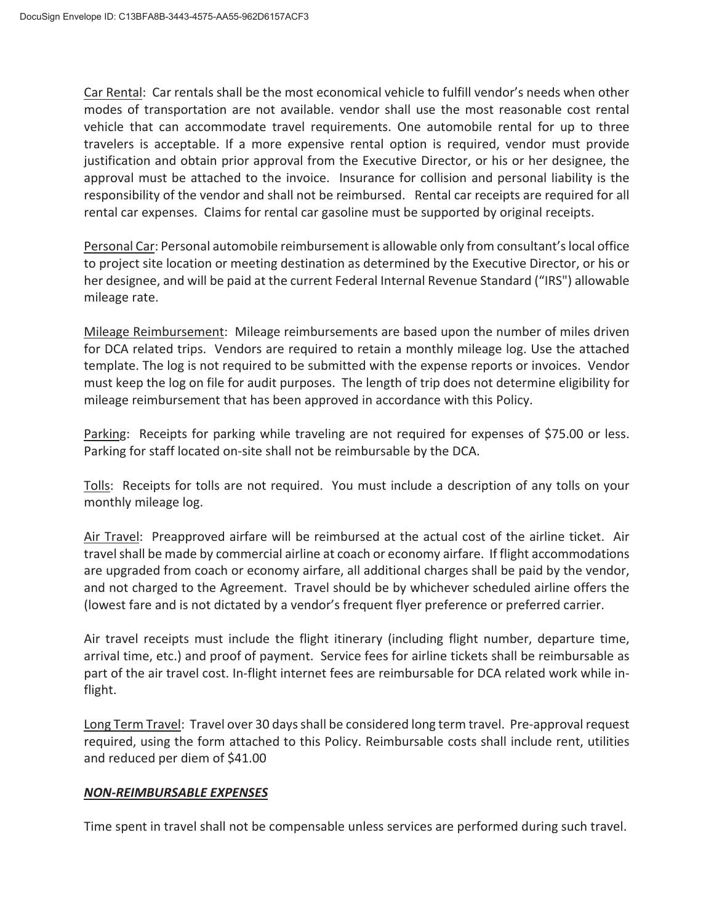Car Rental: Car rentals shall be the most economical vehicle to fulfill vendor's needs when other modes of transportation are not available. vendor shall use the most reasonable cost rental vehicle that can accommodate travel requirements. One automobile rental for up to three travelers is acceptable. If a more expensive rental option is required, vendor must provide justification and obtain prior approval from the Executive Director, or his or her designee, the approval must be attached to the invoice. Insurance for collision and personal liability is the responsibility of the vendor and shall not be reimbursed. Rental car receipts are required for all rental car expenses. Claims for rental car gasoline must be supported by original receipts.

Personal Car: Personal automobile reimbursement is allowable only from consultant'slocal office to project site location or meeting destination as determined by the Executive Director, or his or her designee, and will be paid at the current Federal Internal Revenue Standard ("IRS") allowable mileage rate.

Mileage Reimbursement: Mileage reimbursements are based upon the number of miles driven for DCA related trips. Vendors are required to retain a monthly mileage log. Use the attached template. The log is not required to be submitted with the expense reports or invoices. Vendor must keep the log on file for audit purposes. The length of trip does not determine eligibility for mileage reimbursement that has been approved in accordance with this Policy.

Parking: Receipts for parking while traveling are not required for expenses of \$75.00 or less. Parking for staff located on-site shall not be reimbursable by the DCA.

Tolls: Receipts for tolls are not required. You must include a description of any tolls on your monthly mileage log.

Air Travel: Preapproved airfare will be reimbursed at the actual cost of the airline ticket. Air travel shall be made by commercial airline at coach or economy airfare. If flight accommodations are upgraded from coach or economy airfare, all additional charges shall be paid by the vendor, and not charged to the Agreement. Travel should be by whichever scheduled airline offers the (lowest fare and is not dictated by a vendor's frequent flyer preference or preferred carrier.

Air travel receipts must include the flight itinerary (including flight number, departure time, arrival time, etc.) and proof of payment. Service fees for airline tickets shall be reimbursable as part of the air travel cost. In-flight internet fees are reimbursable for DCA related work while inflight.

Long Term Travel: Travel over 30 days shall be considered long term travel. Pre-approval request required, using the form attached to this Policy. Reimbursable costs shall include rent, utilities and reduced per diem of \$41.00

## *NONͲREIMBURSABLE EXPENSES*

Time spent in travel shall not be compensable unless services are performed during such travel.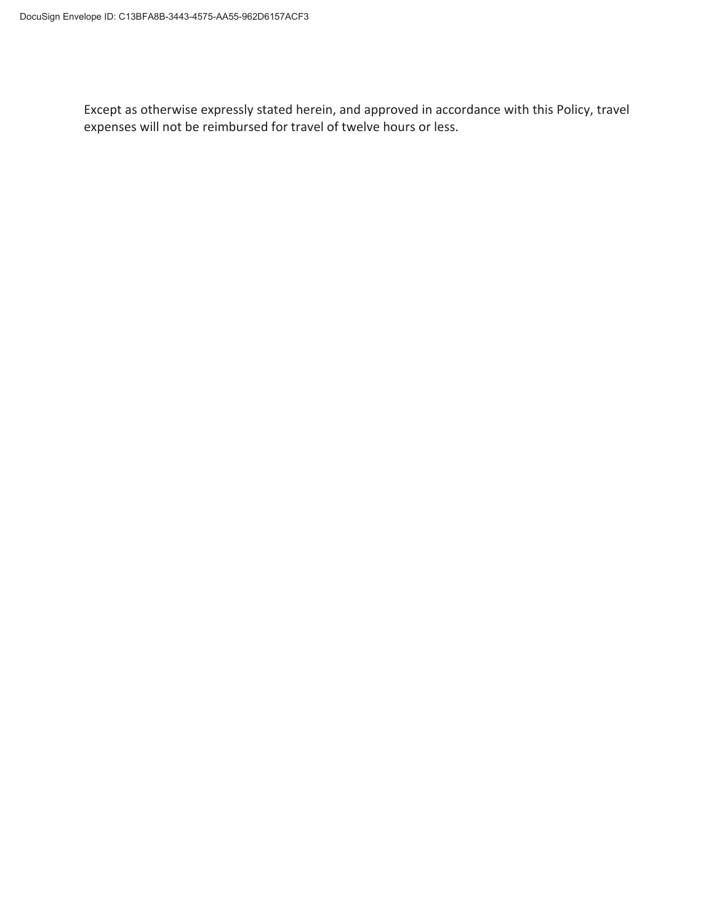Except as otherwise expressly stated herein, and approved in accordance with this Policy, travel expenses will not be reimbursed for travel of twelve hours or less.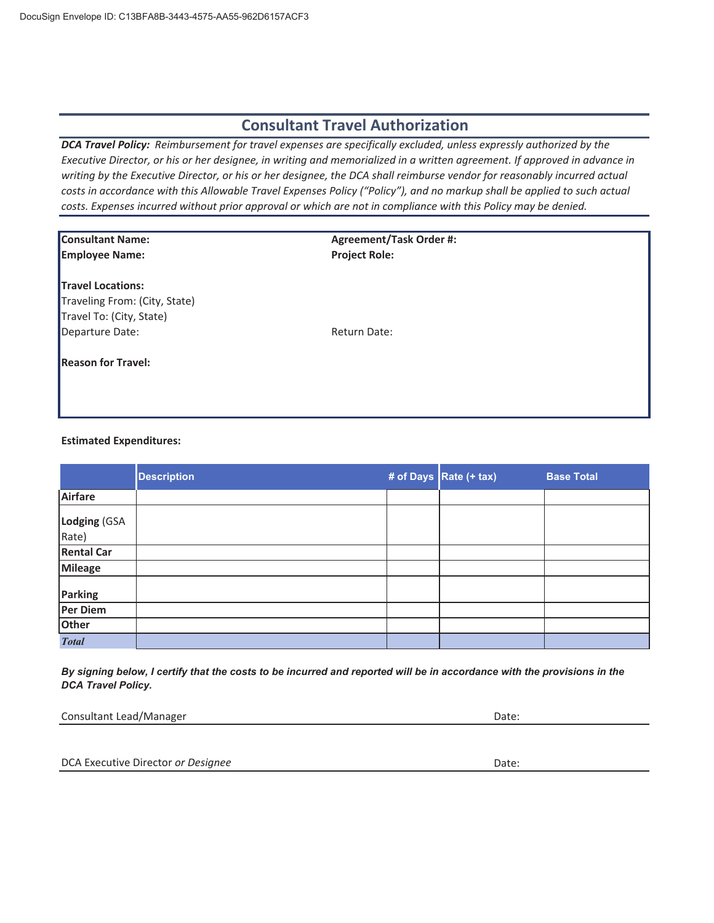## **Consultant Travel Authorization**

*DCA Travel Policy: Reimbursement for travel expenses are specifically excluded, unless expressly authorized by the* Executive Director, or his or her designee, in writing and memorialized in a written agreement. If approved in advance in writing by the Executive Director, or his or her designee, the DCA shall reimburse vendor for reasonably incurred actual costs in accordance with this Allowable Travel Expenses Policy ("Policy"), and no markup shall be applied to such actual costs. Expenses incurred without prior approval or which are not in compliance with this Policy may be denied.

| <b>Consultant Name:</b>       | <b>Agreement/Task Order #:</b> |  |
|-------------------------------|--------------------------------|--|
| <b>Employee Name:</b>         | <b>Project Role:</b>           |  |
| <b>Travel Locations:</b>      |                                |  |
| Traveling From: (City, State) |                                |  |
| Travel To: (City, State)      |                                |  |
| Departure Date:               | Return Date:                   |  |
| <b>Reason for Travel:</b>     |                                |  |
|                               |                                |  |
|                               |                                |  |

#### **Estimated Expenditures:**

|                       | <b>Description</b> | # of Days Rate (+ tax) | <b>Base Total</b> |
|-----------------------|--------------------|------------------------|-------------------|
| Airfare               |                    |                        |                   |
| Lodging (GSA<br>Rate) |                    |                        |                   |
| <b>Rental Car</b>     |                    |                        |                   |
| Mileage               |                    |                        |                   |
| <b>Parking</b>        |                    |                        |                   |
| Per Diem              |                    |                        |                   |
| Other                 |                    |                        |                   |
| <b>Total</b>          |                    |                        |                   |

By signing below, I certify that the costs to be incurred and reported will be in accordance with the provisions in the *DCA Travel Policy.*

| Consultant Lead/Manager | Date: |
|-------------------------|-------|
|-------------------------|-------|

DCA Executive Director *or Designee* Date: Date: Date: Date: Date: Date: Date: Date: Date: Date: Date: Date: Date: Date: Date: Date: Date: Date: Date: Date: Date: Date: Date: Date: Date: Date: Date: Date: Date: Date: Date: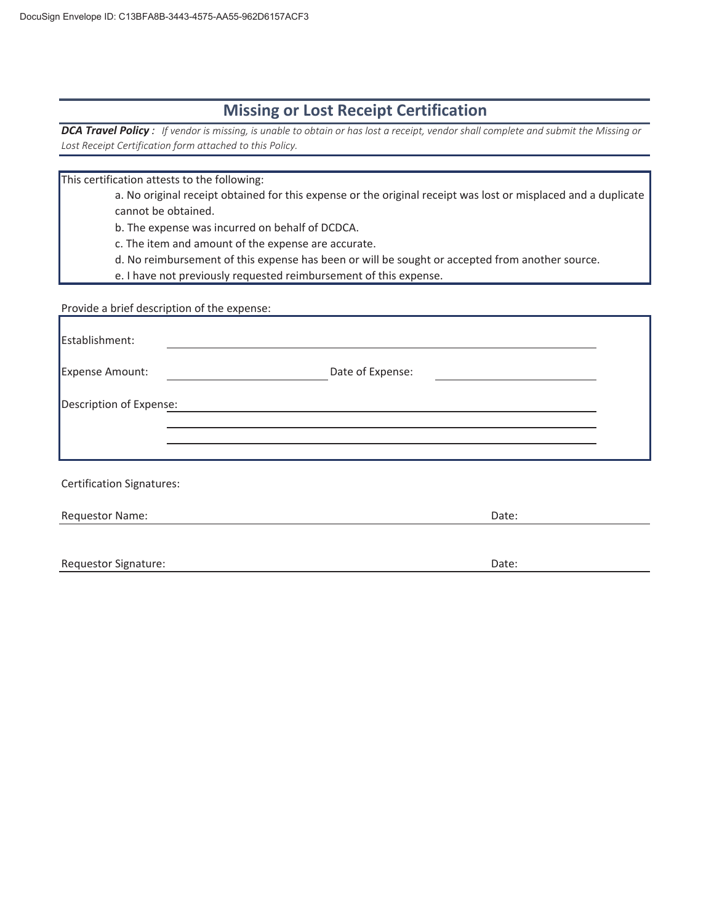## **Missing or Lost Receipt Certification**

DCA Travel Policy: If vendor is missing, is unable to obtain or has lost a receipt, vendor shall complete and submit the Missing or *Lost Receipt Certification form attached to this Policy.*

This certification attests to the following:

a. No original receipt obtained for this expense or the original receipt was lost or misplaced and a duplicate cannot be obtained.

b. The expense was incurred on behalf of DCDCA.

c. The item and amount of the expense are accurate.

d. No reimbursement of this expense has been or will be sought or accepted from another source.

e. I have not previously requested reimbursement of this expense.

Provide a brief description of the expense:

| Establishment:                   |                  |  |
|----------------------------------|------------------|--|
| Expense Amount:                  | Date of Expense: |  |
| Description of Expense:          |                  |  |
|                                  |                  |  |
| <b>Certification Signatures:</b> |                  |  |
| Requestor Name:                  | Date:            |  |
| <b>Requestor Signature:</b>      | Date:            |  |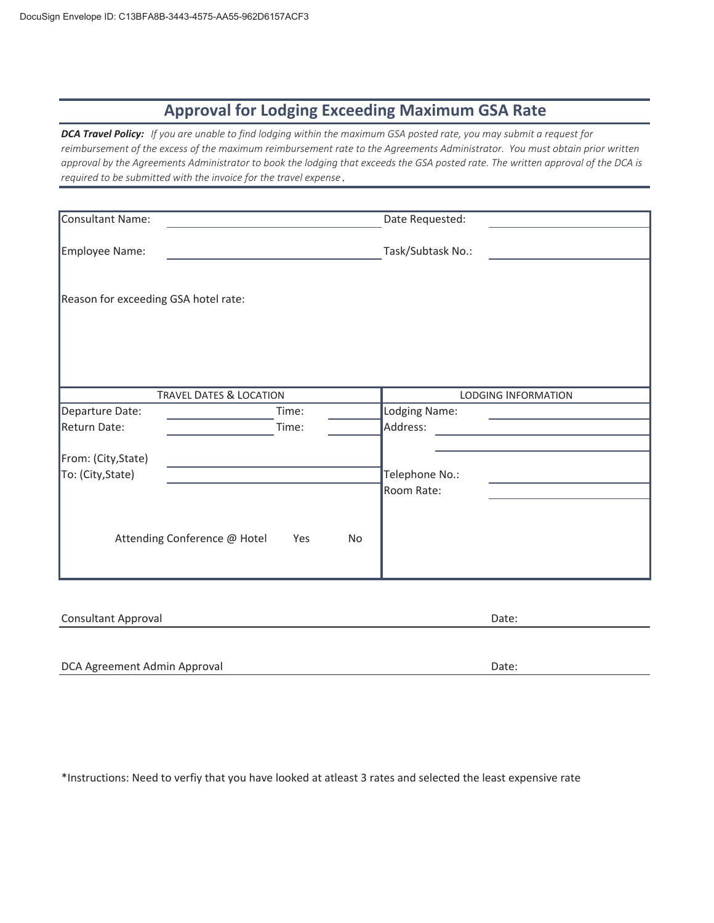# **Approval for Lodging Exceeding Maximum GSA Rate**

DCA Travel Policy: If you are unable to find lodging within the maximum GSA posted rate, you may submit a request for reimbursement of the excess of the maximum reimbursement rate to the Agreements Administrator. You must obtain prior written approval by the Agreements Administrator to book the lodging that exceeds the GSA posted rate. The written approval of the DCA is *required to be submitted with the invoice for the travel expense .*

| Consultant Name:                     |                                                  | Date Requested:     |
|--------------------------------------|--------------------------------------------------|---------------------|
| Employee Name:                       |                                                  | Task/Subtask No.:   |
|                                      |                                                  |                     |
| Reason for exceeding GSA hotel rate: |                                                  |                     |
|                                      |                                                  |                     |
|                                      |                                                  |                     |
|                                      |                                                  |                     |
|                                      | <b>TRAVEL DATES &amp; LOCATION</b>               | LODGING INFORMATION |
| Departure Date:                      | Time:                                            | Lodging Name:       |
| Return Date:                         | Time:                                            | Address:            |
| From: (City, State)                  |                                                  |                     |
| To: (City, State)                    |                                                  | Telephone No.:      |
|                                      |                                                  | Room Rate:          |
|                                      |                                                  |                     |
|                                      | Attending Conference @ Hotel<br>Yes<br><b>No</b> |                     |
|                                      |                                                  |                     |
|                                      |                                                  |                     |

| <b>Consultant Approval</b> | Date: |
|----------------------------|-------|
|                            |       |

DCA Agreement Admin Approval **Date:** Date: Date: Date: Date: Date: Date: Date: Date: Date: Date: Date: Date: Date: Date: Date: Date: Date: Date: Date: Date: Date: Date: Date: Date: Date: Date: Date: Date: Date: Date: Date:

\*Instructions: Need to verfiy that you have looked at atleast 3 rates and selected the least expensive rate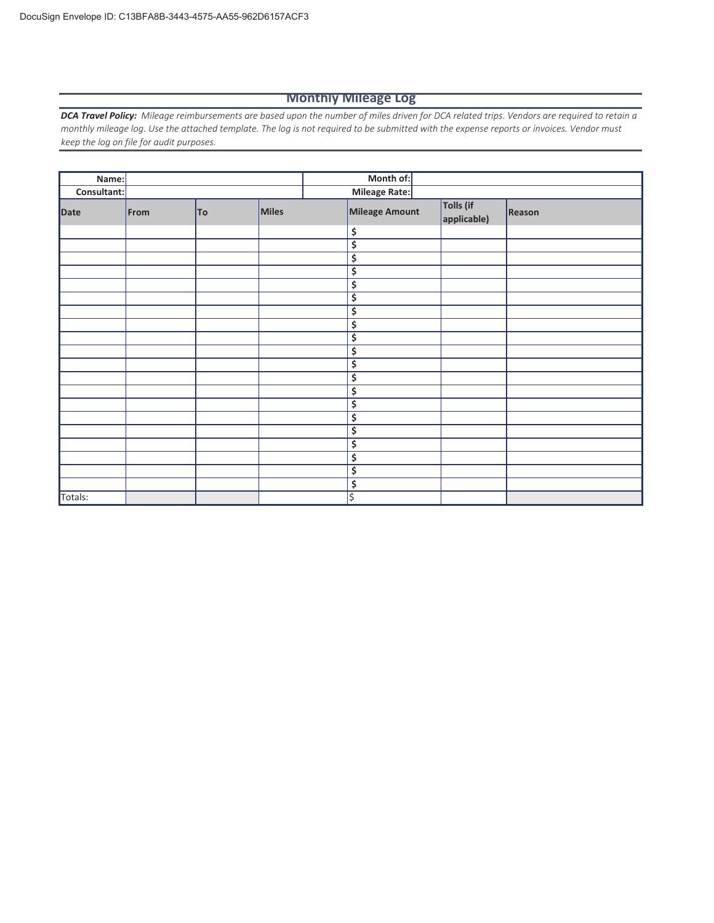#### **Monthly Mileage Log**

DCA Travel Policy: Mileage reimbursements are based upon the number of miles driven for DCA related trips. Vendors are required to retain a monthly mileage log. Use the attached template. The log is not required to be submitted with the expense reports or invoices. Vendor must *keep the log on file for audit purposes.*

| Name:       |      |           |       | Month of:                           |                          |        |
|-------------|------|-----------|-------|-------------------------------------|--------------------------|--------|
| Consultant: |      |           |       | Mileage Rate:                       |                          |        |
| Date        | From | <b>To</b> | Miles | Mileage Amount                      | Tolls (if<br>applicable) | Reason |
|             |      |           |       | \$                                  |                          |        |
|             |      |           |       | \$                                  |                          |        |
|             |      |           |       | \$                                  |                          |        |
|             |      |           |       | $\overline{\boldsymbol{\varsigma}}$ |                          |        |
|             |      |           |       | $\overline{\boldsymbol{\varsigma}}$ |                          |        |
|             |      |           |       | \$                                  |                          |        |
|             |      |           |       | $\overline{\boldsymbol{\varsigma}}$ |                          |        |
|             |      |           |       | $\overline{\boldsymbol{\varsigma}}$ |                          |        |
|             |      |           |       | \$                                  |                          |        |
|             |      |           |       | \$                                  |                          |        |
|             |      |           |       | \$                                  |                          |        |
|             |      |           |       | \$                                  |                          |        |
|             |      |           |       | \$                                  |                          |        |
|             |      |           |       | \$                                  |                          |        |
|             |      |           |       | \$                                  |                          |        |
|             |      |           |       | \$                                  |                          |        |
|             |      |           |       | \$                                  |                          |        |
|             |      |           |       | \$                                  |                          |        |
|             |      |           |       | \$                                  |                          |        |
|             |      |           |       | \$                                  |                          |        |
| Totals:     |      |           |       | \$                                  |                          |        |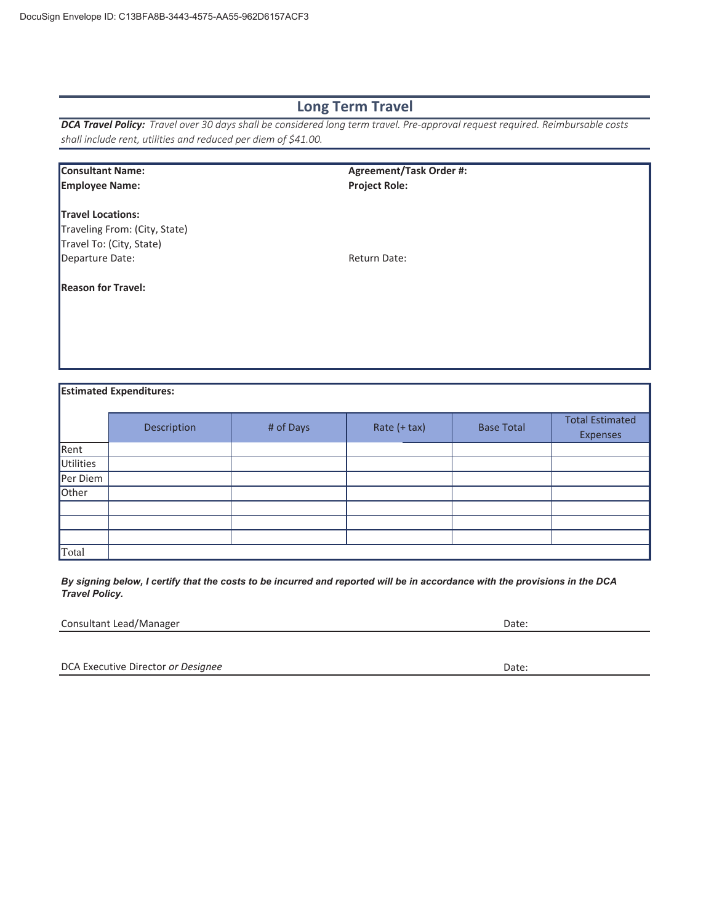## **Long Term Travel**

**DCA Travel Policy:** Travel over 30 days shall be considered long term travel. Pre-approval request required. Reimbursable costs *shall include rent, utilities and reduced per diem of \$41.00.*

|                                 | <b>Consultant Name:</b><br>Agreement/Task Order #: |           |                      |                   |                        |
|---------------------------------|----------------------------------------------------|-----------|----------------------|-------------------|------------------------|
| <b>Employee Name:</b>           |                                                    |           | <b>Project Role:</b> |                   |                        |
|                                 |                                                    |           |                      |                   |                        |
| <b>Travel Locations:</b>        |                                                    |           |                      |                   |                        |
|                                 | Traveling From: (City, State)                      |           |                      |                   |                        |
|                                 | Travel To: (City, State)                           |           |                      |                   |                        |
| Return Date:<br>Departure Date: |                                                    |           |                      |                   |                        |
|                                 |                                                    |           |                      |                   |                        |
| <b>Reason for Travel:</b>       |                                                    |           |                      |                   |                        |
|                                 |                                                    |           |                      |                   |                        |
|                                 |                                                    |           |                      |                   |                        |
|                                 |                                                    |           |                      |                   |                        |
|                                 |                                                    |           |                      |                   |                        |
|                                 |                                                    |           |                      |                   |                        |
|                                 |                                                    |           |                      |                   |                        |
|                                 | <b>Estimated Expenditures:</b>                     |           |                      |                   |                        |
|                                 |                                                    |           |                      |                   |                        |
|                                 | Description                                        | # of Days | Rate $(+$ tax)       | <b>Base Total</b> | <b>Total Estimated</b> |
|                                 |                                                    |           |                      |                   | <b>Expenses</b>        |
| Rent                            |                                                    |           |                      |                   |                        |
| <b>Utilities</b>                |                                                    |           |                      |                   |                        |

| --------- |  |  |  |
|-----------|--|--|--|
| Per Diem  |  |  |  |
| Other     |  |  |  |
|           |  |  |  |
|           |  |  |  |
|           |  |  |  |
| Total     |  |  |  |

*By signing below, I certify that the costs to be incurred and reported will be in accordance with the provisions in the DCA Travel Policy.*

Consultant Lead/Manager Date: Date:

DCA Executive Director *or Designee* Date: Date: Date: Date: Date: Date: Date: Date: Date: Date: Date: Date: Date: Date: Date: Date: Date: Date: Date: Date: Date: Date: Date: Date: Date: Date: Date: Date: Date: Date: Date: